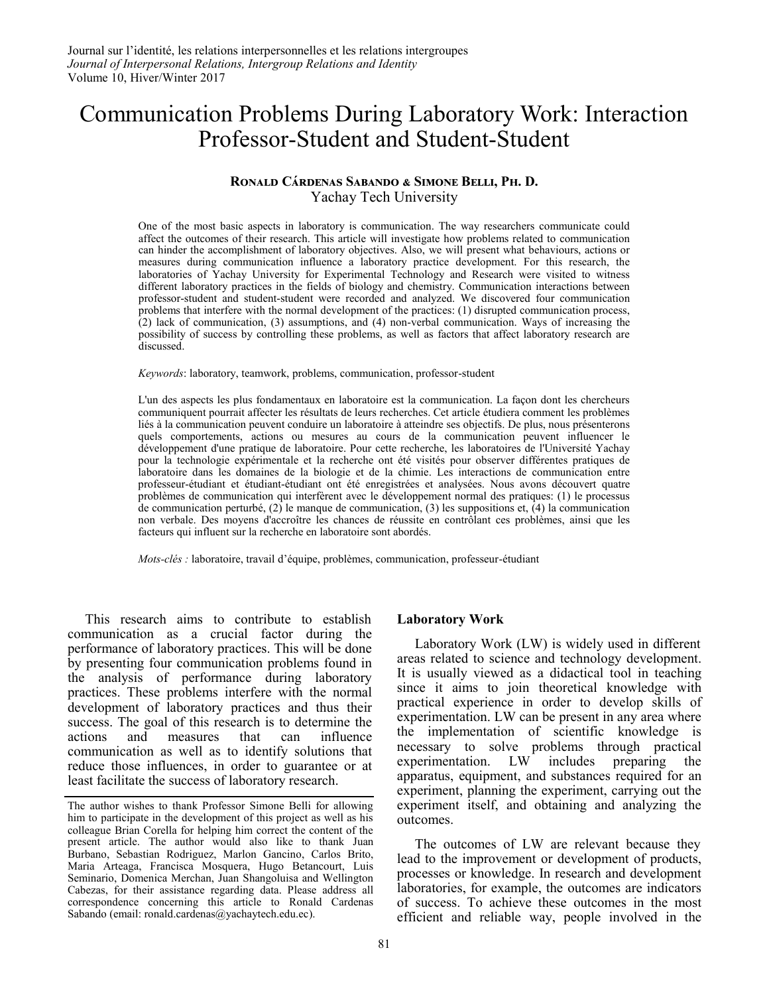# Communication Problems During Laboratory Work: Interaction Professor-Student and Student-Student

# **Ronald Cárdenas Sabando & Simone Belli, Ph. D.** Yachay Tech University

One of the most basic aspects in laboratory is communication. The way researchers communicate could affect the outcomes of their research. This article will investigate how problems related to communication can hinder the accomplishment of laboratory objectives. Also, we will present what behaviours, actions or measures during communication influence a laboratory practice development. For this research, the laboratories of Yachay University for Experimental Technology and Research were visited to witness different laboratory practices in the fields of biology and chemistry. Communication interactions between professor-student and student-student were recorded and analyzed. We discovered four communication problems that interfere with the normal development of the practices: (1) disrupted communication process, (2) lack of communication, (3) assumptions, and (4) non-verbal communication. Ways of increasing the possibility of success by controlling these problems, as well as factors that affect laboratory research are discussed.

*Keywords*: laboratory, teamwork, problems, communication, professor-student

L'un des aspects les plus fondamentaux en laboratoire est la communication. La façon dont les chercheurs communiquent pourrait affecter les résultats de leurs recherches. Cet article étudiera comment les problèmes liés à la communication peuvent conduire un laboratoire à atteindre ses objectifs. De plus, nous présenterons quels comportements, actions ou mesures au cours de la communication peuvent influencer le développement d'une pratique de laboratoire. Pour cette recherche, les laboratoires de l'Université Yachay pour la technologie expérimentale et la recherche ont été visités pour observer différentes pratiques de laboratoire dans les domaines de la biologie et de la chimie. Les interactions de communication entre professeur-étudiant et étudiant-étudiant ont été enregistrées et analysées. Nous avons découvert quatre problèmes de communication qui interfèrent avec le développement normal des pratiques: (1) le processus de communication perturbé, (2) le manque de communication, (3) les suppositions et, (4) la communication non verbale. Des moyens d'accroître les chances de réussite en contrôlant ces problèmes, ainsi que les facteurs qui influent sur la recherche en laboratoire sont abordés.

*Mots-clés :* laboratoire, travail d'équipe, problèmes, communication, professeur-étudiant

This research aims to contribute to establish communication as a crucial factor during the performance of laboratory practices. This will be done by presenting four communication problems found in the analysis of performance during laboratory practices. These problems interfere with the normal development of laboratory practices and thus their success. The goal of this research is to determine the actions and measures that can influence communication as well as to identify solutions that reduce those influences, in order to guarantee or at least facilitate the success of laboratory research.

#### **Laboratory Work**

Laboratory Work (LW) is widely used in different areas related to science and technology development. It is usually viewed as a didactical tool in teaching since it aims to join theoretical knowledge with practical experience in order to develop skills of experimentation. LW can be present in any area where the implementation of scientific knowledge is necessary to solve problems through practical experimentation. LW includes preparing the apparatus, equipment, and substances required for an experiment, planning the experiment, carrying out the experiment itself, and obtaining and analyzing the outcomes.

The outcomes of LW are relevant because they lead to the improvement or development of products, processes or knowledge. In research and development laboratories, for example, the outcomes are indicators of success. To achieve these outcomes in the most efficient and reliable way, people involved in the

The author wishes to thank Professor Simone Belli for allowing him to participate in the development of this project as well as his colleague Brian Corella for helping him correct the content of the present article. The author would also like to thank Juan Burbano, Sebastian Rodriguez, Marlon Gancino, Carlos Brito, Maria Arteaga, Francisca Mosquera, Hugo Betancourt, Luis Seminario, Domenica Merchan, Juan Shangoluisa and Wellington Cabezas, for their assistance regarding data. Please address all correspondence concerning this article to Ronald Cardenas Sabando (email: r[onald.cardenas@yachaytech.edu.ec\).](mailto:ronald.cardenas@yachaytech.edu.ec)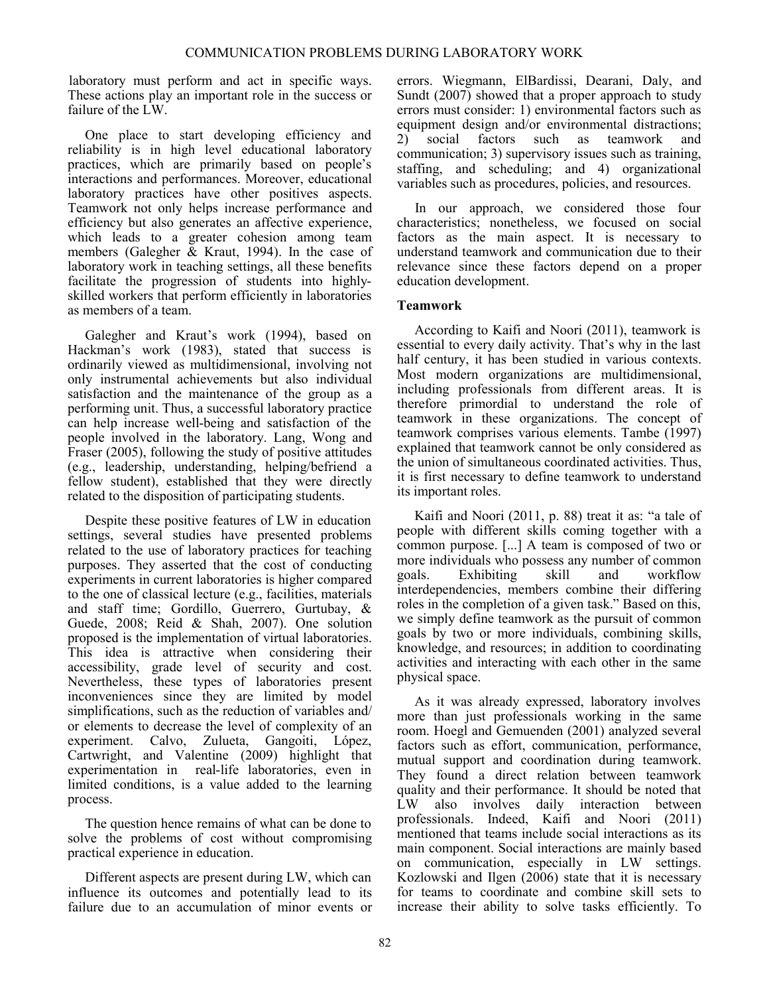laboratory must perform and act in specific ways. These actions play an important role in the success or failure of the LW.

One place to start developing efficiency and reliability is in high level educational laboratory practices, which are primarily based on people's interactions and performances. Moreover, educational laboratory practices have other positives aspects. Teamwork not only helps increase performance and efficiency but also generates an affective experience, which leads to a greater cohesion among team members (Galegher & Kraut, 1994). In the case of laboratory work in teaching settings, all these benefits facilitate the progression of students into highlyskilled workers that perform efficiently in laboratories as members of a team.

Galegher and Kraut's work (1994), based on Hackman's work (1983), stated that success is ordinarily viewed as multidimensional, involving not only instrumental achievements but also individual satisfaction and the maintenance of the group as a performing unit. Thus, a successful laboratory practice can help increase well-being and satisfaction of the people involved in the laboratory. Lang, Wong and Fraser (2005), following the study of positive attitudes (e.g., leadership, understanding, helping/befriend a fellow student), established that they were directly related to the disposition of participating students.

Despite these positive features of LW in education settings, several studies have presented problems related to the use of laboratory practices for teaching purposes. They asserted that the cost of conducting experiments in current laboratories is higher compared to the one of classical lecture (e.g., facilities, materials and staff time; Gordillo, Guerrero, Gurtubay, & Guede, 2008; Reid & Shah, 2007). One solution proposed is the implementation of virtual laboratories. This idea is attractive when considering their accessibility, grade level of security and cost. Nevertheless, these types of laboratories present inconveniences since they are limited by model simplifications, such as the reduction of variables and/ or elements to decrease the level of complexity of an experiment. Calvo, Zulueta, Gangoiti, Lόpez, Cartwright, and Valentine (2009) highlight that experimentation in real-life laboratories, even in limited conditions, is a value added to the learning process.

The question hence remains of what can be done to solve the problems of cost without compromising practical experience in education.

Different aspects are present during LW, which can influence its outcomes and potentially lead to its failure due to an accumulation of minor events or errors. Wiegmann, ElBardissi, Dearani, Daly, and Sundt (2007) showed that a proper approach to study errors must consider: 1) environmental factors such as equipment design and/or environmental distractions; 2) social factors such as teamwork and communication; 3) supervisory issues such as training, staffing, and scheduling; and 4) organizational variables such as procedures, policies, and resources.

In our approach, we considered those four characteristics; nonetheless, we focused on social factors as the main aspect. It is necessary to understand teamwork and communication due to their relevance since these factors depend on a proper education development.

# **Teamwork**

According to Kaifi and Noori (2011), teamwork is essential to every daily activity. That's why in the last half century, it has been studied in various contexts. Most modern organizations are multidimensional, including professionals from different areas. It is therefore primordial to understand the role of teamwork in these organizations. The concept of teamwork comprises various elements. Tambe (1997) explained that teamwork cannot be only considered as the union of simultaneous coordinated activities. Thus, it is first necessary to define teamwork to understand its important roles.

Kaifi and Noori (2011, p. 88) treat it as: "a tale of people with different skills coming together with a common purpose. [...] A team is composed of two or more individuals who possess any number of common goals. Exhibiting skill and workflow interdependencies, members combine their differing roles in the completion of a given task." Based on this, we simply define teamwork as the pursuit of common goals by two or more individuals, combining skills, knowledge, and resources; in addition to coordinating activities and interacting with each other in the same physical space.

As it was already expressed, laboratory involves more than just professionals working in the same room. Hoegl and Gemuenden (2001) analyzed several factors such as effort, communication, performance, mutual support and coordination during teamwork. They found a direct relation between teamwork quality and their performance. It should be noted that LW also involves daily interaction between professionals. Indeed, Kaifi and Noori (2011) mentioned that teams include social interactions as its main component. Social interactions are mainly based on communication, especially in LW settings. Kozlowski and Ilgen (2006) state that it is necessary for teams to coordinate and combine skill sets to increase their ability to solve tasks efficiently. To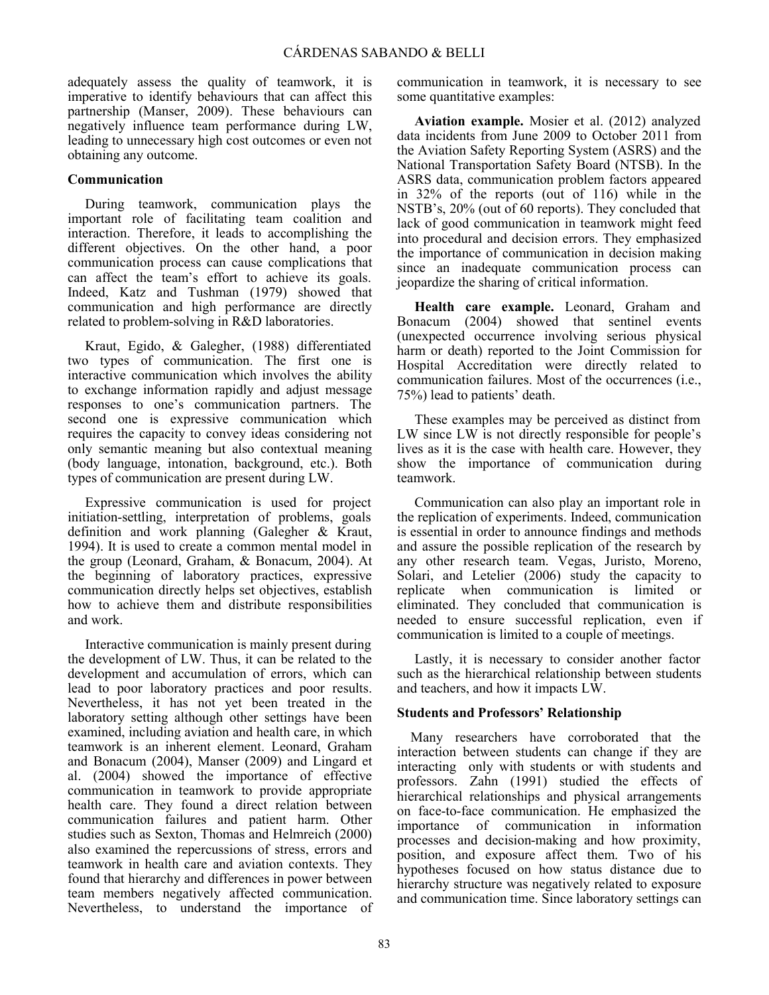adequately assess the quality of teamwork, it is imperative to identify behaviours that can affect this partnership (Manser, 2009). These behaviours can negatively influence team performance during LW, leading to unnecessary high cost outcomes or even not obtaining any outcome.

# **Communication**

During teamwork, communication plays the important role of facilitating team coalition and interaction. Therefore, it leads to accomplishing the different objectives. On the other hand, a poor communication process can cause complications that can affect the team's effort to achieve its goals. Indeed, Katz and Tushman (1979) showed that communication and high performance are directly related to problem-solving in R&D laboratories.

Kraut, Egido, & Galegher, (1988) differentiated two types of communication. The first one is interactive communication which involves the ability to exchange information rapidly and adjust message responses to one's communication partners. The second one is expressive communication which requires the capacity to convey ideas considering not only semantic meaning but also contextual meaning (body language, intonation, background, etc.). Both types of communication are present during LW.

Expressive communication is used for project initiation-settling, interpretation of problems, goals definition and work planning (Galegher & Kraut, 1994). It is used to create a common mental model in the group (Leonard, Graham, & Bonacum, 2004). At the beginning of laboratory practices, expressive communication directly helps set objectives, establish how to achieve them and distribute responsibilities and work.

Interactive communication is mainly present during the development of LW. Thus, it can be related to the development and accumulation of errors, which can lead to poor laboratory practices and poor results. Nevertheless, it has not yet been treated in the laboratory setting although other settings have been examined, including aviation and health care, in which teamwork is an inherent element. Leonard, Graham and Bonacum (2004), Manser (2009) and Lingard et al. (2004) showed the importance of effective communication in teamwork to provide appropriate health care. They found a direct relation between communication failures and patient harm. Other studies such as Sexton, Thomas and Helmreich (2000) also examined the repercussions of stress, errors and teamwork in health care and aviation contexts. They found that hierarchy and differences in power between team members negatively affected communication. Nevertheless, to understand the importance of

communication in teamwork, it is necessary to see some quantitative examples:

**Aviation example.** Mosier et al. (2012) analyzed data incidents from June 2009 to October 2011 from the Aviation Safety Reporting System (ASRS) and the National Transportation Safety Board (NTSB). In the ASRS data, communication problem factors appeared in 32% of the reports (out of 116) while in the NSTB's, 20% (out of 60 reports). They concluded that lack of good communication in teamwork might feed into procedural and decision errors. They emphasized the importance of communication in decision making since an inadequate communication process can jeopardize the sharing of critical information.

**Health care example.** Leonard, Graham and Bonacum (2004) showed that sentinel events (unexpected occurrence involving serious physical harm or death) reported to the Joint Commission for Hospital Accreditation were directly related to communication failures. Most of the occurrences (i.e., 75%) lead to patients' death.

These examples may be perceived as distinct from LW since LW is not directly responsible for people's lives as it is the case with health care. However, they show the importance of communication during teamwork.

Communication can also play an important role in the replication of experiments. Indeed, communication is essential in order to announce findings and methods and assure the possible replication of the research by any other research team. Vegas, Juristo, Moreno, Solari, and Letelier (2006) study the capacity to replicate when communication is limited or eliminated. They concluded that communication is needed to ensure successful replication, even if communication is limited to a couple of meetings.

Lastly, it is necessary to consider another factor such as the hierarchical relationship between students and teachers, and how it impacts LW.

# **Students and Professors' Relationship**

Many researchers have corroborated that the interaction between students can change if they are interacting only with students or with students and professors. Zahn (1991) studied the effects of hierarchical relationships and physical arrangements on face-to-face communication. He emphasized the importance of communication in information processes and decision-making and how proximity, position, and exposure affect them. Two of his hypotheses focused on how status distance due to hierarchy structure was negatively related to exposure and communication time. Since laboratory settings can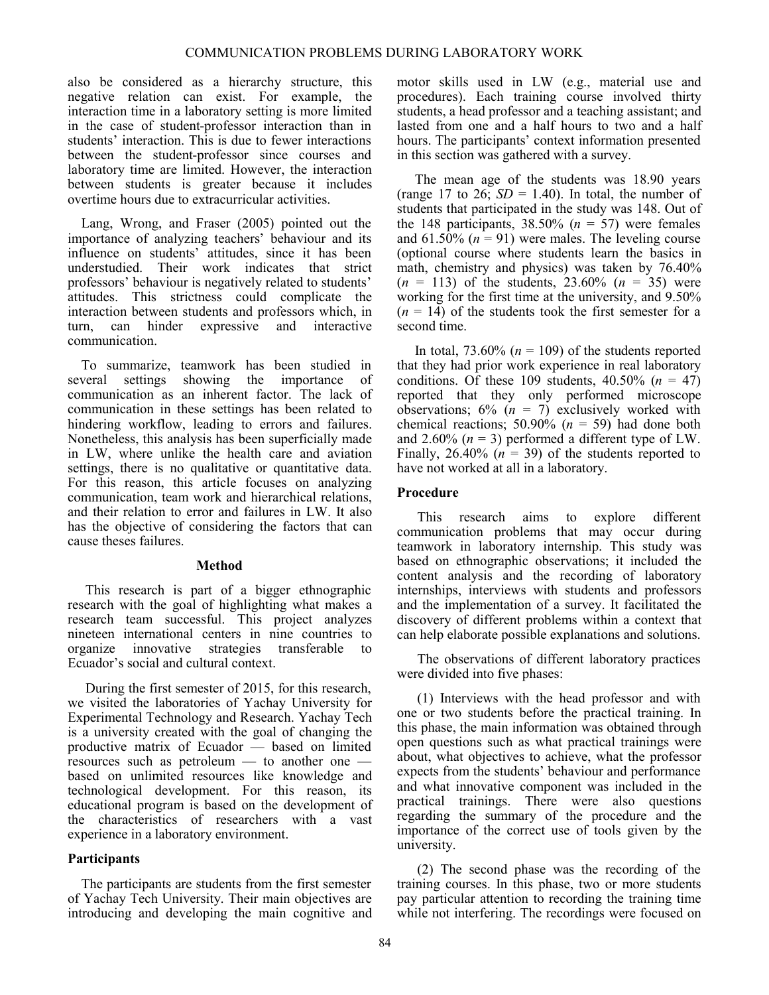also be considered as a hierarchy structure, this negative relation can exist. For example, the interaction time in a laboratory setting is more limited in the case of student-professor interaction than in students' interaction. This is due to fewer interactions between the student-professor since courses and laboratory time are limited. However, the interaction between students is greater because it includes overtime hours due to extracurricular activities.

Lang, Wrong, and Fraser (2005) pointed out the importance of analyzing teachers' behaviour and its influence on students' attitudes, since it has been understudied. Their work indicates that strict professors' behaviour is negatively related to students' attitudes. This strictness could complicate the interaction between students and professors which, in turn, can hinder expressive and interactive communication.

To summarize, teamwork has been studied in several settings showing the importance of communication as an inherent factor. The lack of communication in these settings has been related to hindering workflow, leading to errors and failures. Nonetheless, this analysis has been superficially made in LW, where unlike the health care and aviation settings, there is no qualitative or quantitative data. For this reason, this article focuses on analyzing communication, team work and hierarchical relations, and their relation to error and failures in LW. It also has the objective of considering the factors that can cause theses failures.

#### **Method**

This research is part of a bigger ethnographic research with the goal of highlighting what makes a research team successful. This project analyzes nineteen international centers in nine countries to organize innovative strategies transferable to Ecuador's social and cultural context.

During the first semester of 2015, for this research, we visited the laboratories of Yachay University for Experimental Technology and Research. Yachay Tech is a university created with the goal of changing the productive matrix of Ecuador — based on limited resources such as petroleum — to another one based on unlimited resources like knowledge and technological development. For this reason, its educational program is based on the development of the characteristics of researchers with a vast experience in a laboratory environment.

# **Participants**

The participants are students from the first semester of Yachay Tech University. Their main objectives are introducing and developing the main cognitive and motor skills used in LW (e.g., material use and procedures). Each training course involved thirty students, a head professor and a teaching assistant; and lasted from one and a half hours to two and a half hours. The participants' context information presented in this section was gathered with a survey.

The mean age of the students was 18.90 years (range 17 to 26;  $SD = 1.40$ ). In total, the number of students that participated in the study was 148. Out of the 148 participants,  $38.50\%$  ( $n = 57$ ) were females and  $61.50\%$  ( $n = 91$ ) were males. The leveling course (optional course where students learn the basics in math, chemistry and physics) was taken by 76.40% (*n* = 113) of the students, 23.60% (*n* = 35) were working for the first time at the university, and 9.50%  $(n = 14)$  of the students took the first semester for a second time.

In total,  $73.60\%$  ( $n = 109$ ) of the students reported that they had prior work experience in real laboratory conditions. Of these 109 students,  $40.50\%$  ( $n = 47$ ) reported that they only performed microscope observations;  $6\%$  ( $n = 7$ ) exclusively worked with chemical reactions; 50.90%  $(n = 59)$  had done both and 2.60%  $(n = 3)$  performed a different type of LW. Finally,  $26.40\%$  ( $n = 39$ ) of the students reported to have not worked at all in a laboratory.

## **Procedure**

This research aims to explore different communication problems that may occur during teamwork in laboratory internship. This study was based on ethnographic observations; it included the content analysis and the recording of laboratory internships, interviews with students and professors and the implementation of a survey. It facilitated the discovery of different problems within a context that can help elaborate possible explanations and solutions.

The observations of different laboratory practices were divided into five phases:

(1) Interviews with the head professor and with one or two students before the practical training. In this phase, the main information was obtained through open questions such as what practical trainings were about, what objectives to achieve, what the professor expects from the students' behaviour and performance and what innovative component was included in the practical trainings. There were also questions regarding the summary of the procedure and the importance of the correct use of tools given by the university.

(2) The second phase was the recording of the training courses. In this phase, two or more students pay particular attention to recording the training time while not interfering. The recordings were focused on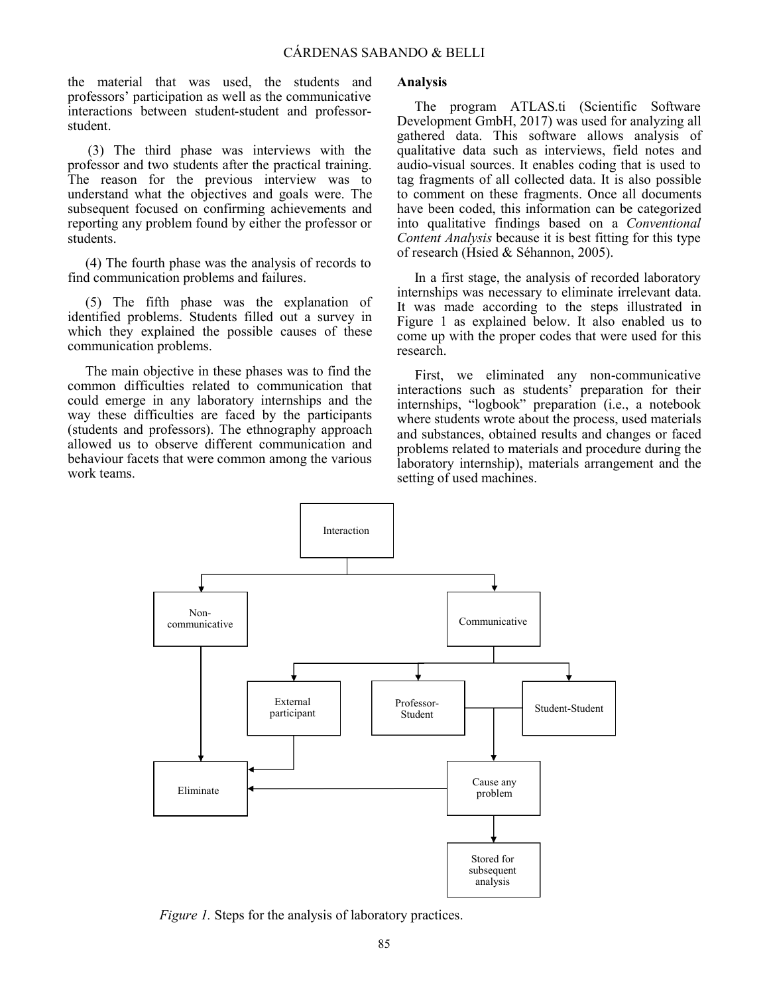the material that was used, the students and professors' participation as well as the communicative interactions between student-student and professorstudent.

(3) The third phase was interviews with the professor and two students after the practical training. The reason for the previous interview was to understand what the objectives and goals were. The subsequent focused on confirming achievements and reporting any problem found by either the professor or students.

(4) The fourth phase was the analysis of records to find communication problems and failures.

(5) The fifth phase was the explanation of identified problems. Students filled out a survey in which they explained the possible causes of these communication problems.

The main objective in these phases was to find the common difficulties related to communication that could emerge in any laboratory internships and the way these difficulties are faced by the participants (students and professors). The ethnography approach allowed us to observe different communication and behaviour facets that were common among the various work teams.

#### **Analysis**

The program ATLAS.ti (Scientific Software Development GmbH, 2017) was used for analyzing all gathered data. This software allows analysis of qualitative data such as interviews, field notes and audio-visual sources. It enables coding that is used to tag fragments of all collected data. It is also possible to comment on these fragments. Once all documents have been coded, this information can be categorized into qualitative findings based on a *Conventional Content Analysis* because it is best fitting for this type of research (Hsied & Séhannon, 2005).

In a first stage, the analysis of recorded laboratory internships was necessary to eliminate irrelevant data. It was made according to the steps illustrated in Figure 1 as explained below. It also enabled us to come up with the proper codes that were used for this research.

First, we eliminated any non-communicative interactions such as students' preparation for their internships, "logbook" preparation (i.e., a notebook where students wrote about the process, used materials and substances, obtained results and changes or faced problems related to materials and procedure during the laboratory internship), materials arrangement and the setting of used machines.



*Figure 1.* Steps for the analysis of laboratory practices.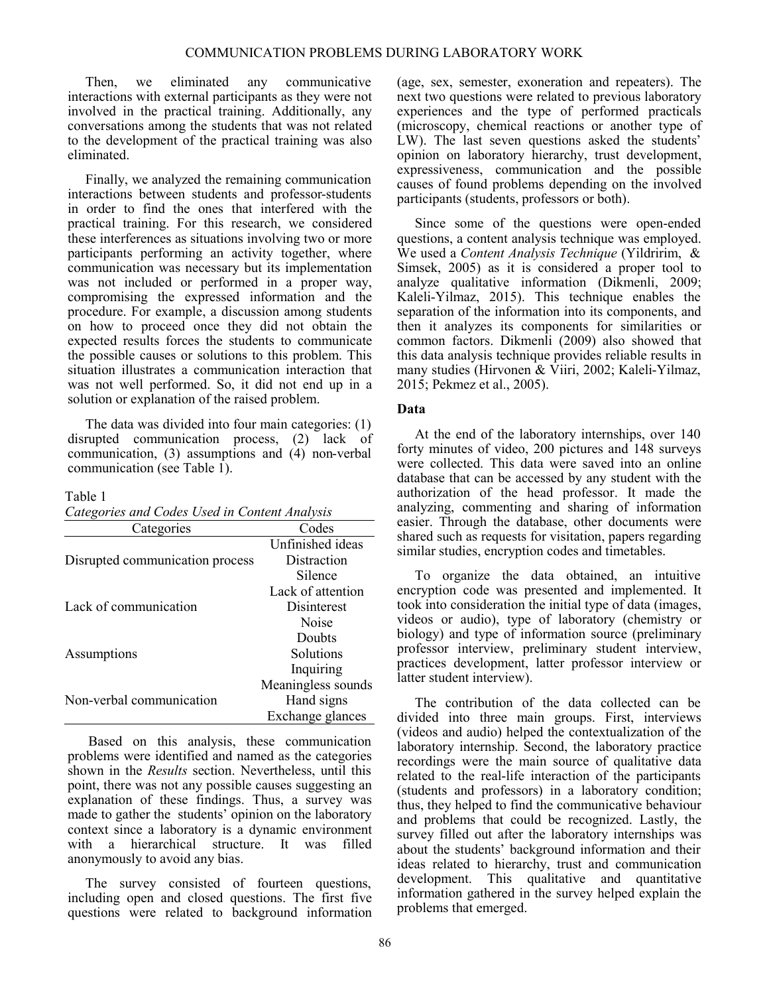Then, we eliminated any communicative interactions with external participants as they were not involved in the practical training. Additionally, any conversations among the students that was not related to the development of the practical training was also eliminated.

Finally, we analyzed the remaining communication interactions between students and professor-students in order to find the ones that interfered with the practical training. For this research, we considered these interferences as situations involving two or more participants performing an activity together, where communication was necessary but its implementation was not included or performed in a proper way, compromising the expressed information and the procedure. For example, a discussion among students on how to proceed once they did not obtain the expected results forces the students to communicate the possible causes or solutions to this problem. This situation illustrates a communication interaction that was not well performed. So, it did not end up in a solution or explanation of the raised problem.

The data was divided into four main categories: (1) disrupted communication process, (2) lack of communication, (3) assumptions and (4) non-verbal communication (see Table 1).

#### Table 1

*Categories and Codes Used in Content Analysis*

| Categories                      | Codes              |
|---------------------------------|--------------------|
|                                 | Unfinished ideas   |
| Disrupted communication process | Distraction        |
|                                 | Silence            |
| Lack of communication           | Lack of attention  |
|                                 | Disinterest        |
|                                 | Noise              |
| Assumptions                     | Doubts             |
|                                 | Solutions          |
|                                 | Inquiring          |
| Non-verbal communication        | Meaningless sounds |
|                                 | Hand signs         |
|                                 | Exchange glances   |

 Based on this analysis, these communication problems were identified and named as the categories shown in the *Results* section. Nevertheless, until this point, there was not any possible causes suggesting an explanation of these findings. Thus, a survey was made to gather the students' opinion on the laboratory context since a laboratory is a dynamic environment with a hierarchical structure. It was filled anonymously to avoid any bias.

The survey consisted of fourteen questions, including open and closed questions. The first five questions were related to background information (age, sex, semester, exoneration and repeaters). The next two questions were related to previous laboratory experiences and the type of performed practicals (microscopy, chemical reactions or another type of LW). The last seven questions asked the students' opinion on laboratory hierarchy, trust development, expressiveness, communication and the possible causes of found problems depending on the involved participants (students, professors or both).

Since some of the questions were open-ended questions, a content analysis technique was employed. We used a *Content Analysis Technique* (Yildririm, & Simsek, 2005) as it is considered a proper tool to analyze qualitative information (Dikmenli, 2009; Kaleli-Yilmaz, 2015). This technique enables the separation of the information into its components, and then it analyzes its components for similarities or common factors. Dikmenli (2009) also showed that this data analysis technique provides reliable results in many studies (Hirvonen & Viiri, 2002; Kaleli-Yilmaz, 2015; Pekmez et al., 2005).

#### **Data**

At the end of the laboratory internships, over 140 forty minutes of video, 200 pictures and 148 surveys were collected. This data were saved into an online database that can be accessed by any student with the authorization of the head professor. It made the analyzing, commenting and sharing of information easier. Through the database, other documents were shared such as requests for visitation, papers regarding similar studies, encryption codes and timetables.

To organize the data obtained, an intuitive encryption code was presented and implemented. It took into consideration the initial type of data (images, videos or audio), type of laboratory (chemistry or biology) and type of information source (preliminary professor interview, preliminary student interview, practices development, latter professor interview or latter student interview).

The contribution of the data collected can be divided into three main groups. First, interviews (videos and audio) helped the contextualization of the laboratory internship. Second, the laboratory practice recordings were the main source of qualitative data related to the real-life interaction of the participants (students and professors) in a laboratory condition; thus, they helped to find the communicative behaviour and problems that could be recognized. Lastly, the survey filled out after the laboratory internships was about the students' background information and their ideas related to hierarchy, trust and communication development. This qualitative and quantitative information gathered in the survey helped explain the problems that emerged.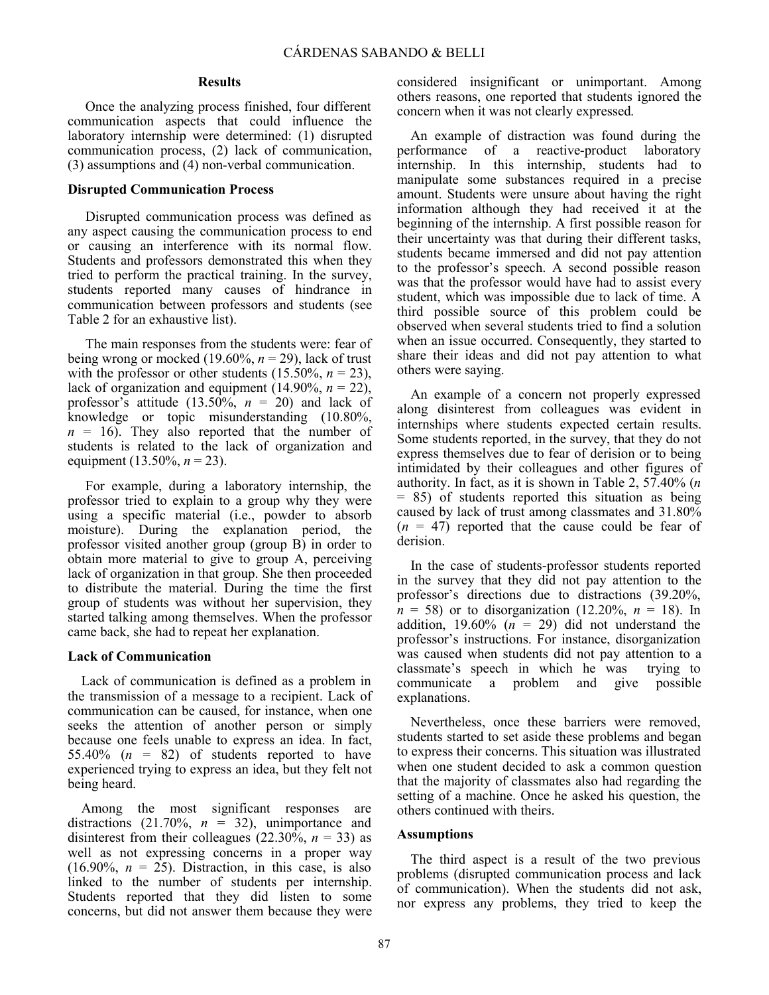#### **Results**

Once the analyzing process finished, four different communication aspects that could influence the laboratory internship were determined: (1) disrupted communication process, (2) lack of communication, (3) assumptions and (4) non-verbal communication.

#### **Disrupted Communication Process**

Disrupted communication process was defined as any aspect causing the communication process to end or causing an interference with its normal flow. Students and professors demonstrated this when they tried to perform the practical training. In the survey, students reported many causes of hindrance in communication between professors and students (see Table 2 for an exhaustive list).

The main responses from the students were: fear of being wrong or mocked (19.60%,  $n = 29$ ), lack of trust with the professor or other students  $(15.50\%, n = 23)$ , lack of organization and equipment  $(14.90\%, n = 22)$ , professor's attitude  $(13.50\%, n = 20)$  and lack of knowledge or topic misunderstanding (10.80%,  $n = 16$ ). They also reported that the number of students is related to the lack of organization and equipment (13.50%, *n* = 23).

For example, during a laboratory internship, the professor tried to explain to a group why they were using a specific material (i.e., powder to absorb moisture). During the explanation period, the professor visited another group (group B) in order to obtain more material to give to group A, perceiving lack of organization in that group. She then proceeded to distribute the material. During the time the first group of students was without her supervision, they started talking among themselves. When the professor came back, she had to repeat her explanation.

#### **Lack of Communication**

Lack of communication is defined as a problem in the transmission of a message to a recipient. Lack of communication can be caused, for instance, when one seeks the attention of another person or simply because one feels unable to express an idea. In fact, 55.40%  $(n = 82)$  of students reported to have experienced trying to express an idea, but they felt not being heard.

Among the most significant responses are distractions  $(21.70\%, n = 32)$ , unimportance and disinterest from their colleagues (22.30%,  $n = 33$ ) as well as not expressing concerns in a proper way (16.90%,  $n = 25$ ). Distraction, in this case, is also linked to the number of students per internship. Students reported that they did listen to some concerns, but did not answer them because they were

Results **Executs** considered insignificant or unimportant. Among others reasons, one reported that students ignored the concern when it was not clearly expressed.

> An example of distraction was found during the performance of a reactive-product laboratory internship. In this internship, students had to manipulate some substances required in a precise amount. Students were unsure about having the right information although they had received it at the beginning of the internship. A first possible reason for their uncertainty was that during their different tasks, students became immersed and did not pay attention to the professor's speech. A second possible reason was that the professor would have had to assist every student, which was impossible due to lack of time. A third possible source of this problem could be observed when several students tried to find a solution when an issue occurred. Consequently, they started to share their ideas and did not pay attention to what others were saying.

> An example of a concern not properly expressed along disinterest from colleagues was evident in internships where students expected certain results. Some students reported, in the survey, that they do not express themselves due to fear of derision or to being intimidated by their colleagues and other figures of authority. In fact, as it is shown in Table 2, 57.40% (*n* = 85) of students reported this situation as being caused by lack of trust among classmates and 31.80%  $(n = 47)$  reported that the cause could be fear of derision.

> In the case of students-professor students reported in the survey that they did not pay attention to the professor's directions due to distractions (39.20%,  $n = 58$  or to disorganization (12.20%,  $n = 18$ ). In addition, 19.60%  $(n = 29)$  did not understand the professor's instructions. For instance, disorganization was caused when students did not pay attention to a classmate's speech in which he was trying to communicate a problem and give possible explanations.

> Nevertheless, once these barriers were removed, students started to set aside these problems and began to express their concerns. This situation was illustrated when one student decided to ask a common question that the majority of classmates also had regarding the setting of a machine. Once he asked his question, the others continued with theirs.

#### **Assumptions**

The third aspect is a result of the two previous problems (disrupted communication process and lack of communication). When the students did not ask, nor express any problems, they tried to keep the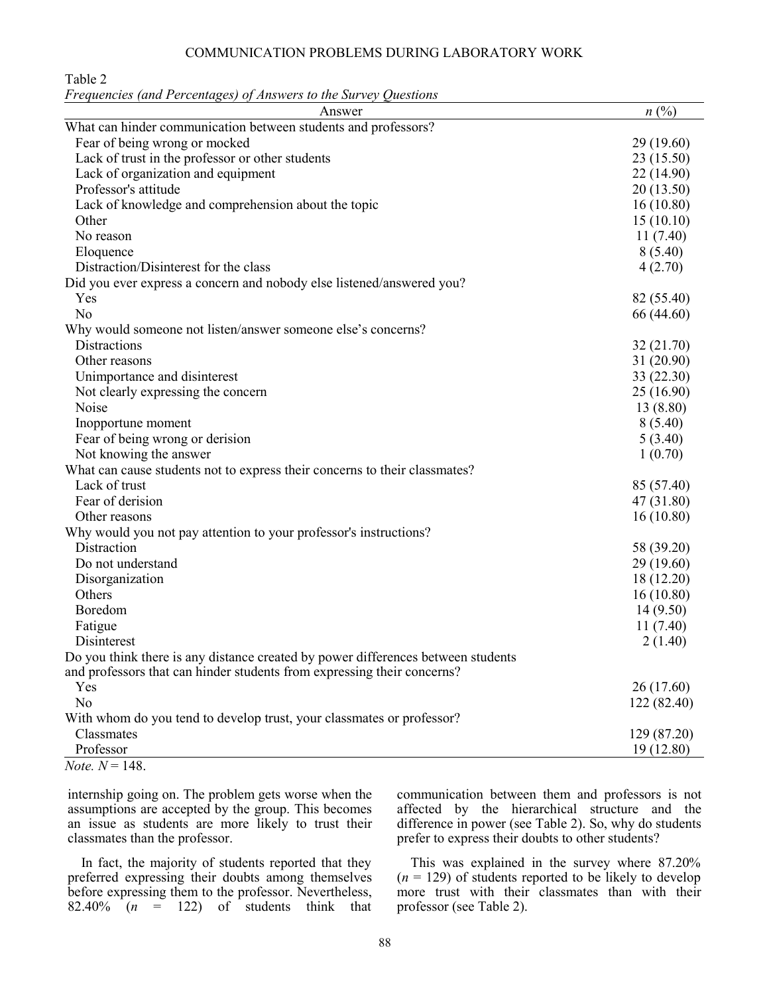#### COMMUNICATION PROBLEMS DURING LABORATORY WORK

Table 2

*Frequencies (and Percentages) of Answers to the Survey Questions*

| Answer                                                                           | $n(^{0}/_{0})$ |
|----------------------------------------------------------------------------------|----------------|
| What can hinder communication between students and professors?                   |                |
| Fear of being wrong or mocked                                                    | 29 (19.60)     |
| Lack of trust in the professor or other students                                 | 23 (15.50)     |
| Lack of organization and equipment                                               | 22 (14.90)     |
| Professor's attitude                                                             | 20(13.50)      |
| Lack of knowledge and comprehension about the topic                              | 16(10.80)      |
| Other                                                                            | 15(10.10)      |
| No reason                                                                        | 11(7.40)       |
| Eloquence                                                                        | 8(5.40)        |
| Distraction/Disinterest for the class                                            | 4(2.70)        |
| Did you ever express a concern and nobody else listened/answered you?            |                |
| Yes                                                                              | 82 (55.40)     |
| N <sub>o</sub>                                                                   | 66 (44.60)     |
| Why would someone not listen/answer someone else's concerns?                     |                |
| Distractions                                                                     | 32 (21.70)     |
| Other reasons                                                                    | 31 (20.90)     |
| Unimportance and disinterest                                                     | 33 (22.30)     |
| Not clearly expressing the concern                                               | 25(16.90)      |
| Noise                                                                            | 13 (8.80)      |
| Inopportune moment                                                               | 8(5.40)        |
| Fear of being wrong or derision                                                  | 5(3.40)        |
| Not knowing the answer                                                           | 1(0.70)        |
| What can cause students not to express their concerns to their classmates?       |                |
| Lack of trust                                                                    | 85 (57.40)     |
| Fear of derision                                                                 | 47 (31.80)     |
| Other reasons                                                                    | 16(10.80)      |
| Why would you not pay attention to your professor's instructions?                |                |
| Distraction                                                                      | 58 (39.20)     |
| Do not understand                                                                | 29 (19.60)     |
| Disorganization                                                                  | 18 (12.20)     |
| Others                                                                           | 16(10.80)      |
| Boredom                                                                          | 14(9.50)       |
| Fatigue                                                                          | 11(7.40)       |
| Disinterest                                                                      | 2(1.40)        |
| Do you think there is any distance created by power differences between students |                |
| and professors that can hinder students from expressing their concerns?          |                |
| Yes                                                                              | 26 (17.60)     |
| N <sub>o</sub>                                                                   | 122(82.40)     |
| With whom do you tend to develop trust, your classmates or professor?            |                |
| Classmates                                                                       | 129 (87.20)    |
| Professor                                                                        | 19(12.80)      |
| <i>Note</i> , $N = 148$ .                                                        |                |

internship going on. The problem gets worse when the assumptions are accepted by the group. This becomes an issue as students are more likely to trust their classmates than the professor.

In fact, the majority of students reported that they preferred expressing their doubts among themselves before expressing them to the professor. Nevertheless, 82.40%  $(n = 122)$  of students think that

communication between them and professors is not affected by the hierarchical structure and the difference in power (see Table 2). So, why do students prefer to express their doubts to other students?

This was explained in the survey where 87.20%  $(n = 129)$  of students reported to be likely to develop more trust with their classmates than with their professor (see Table 2).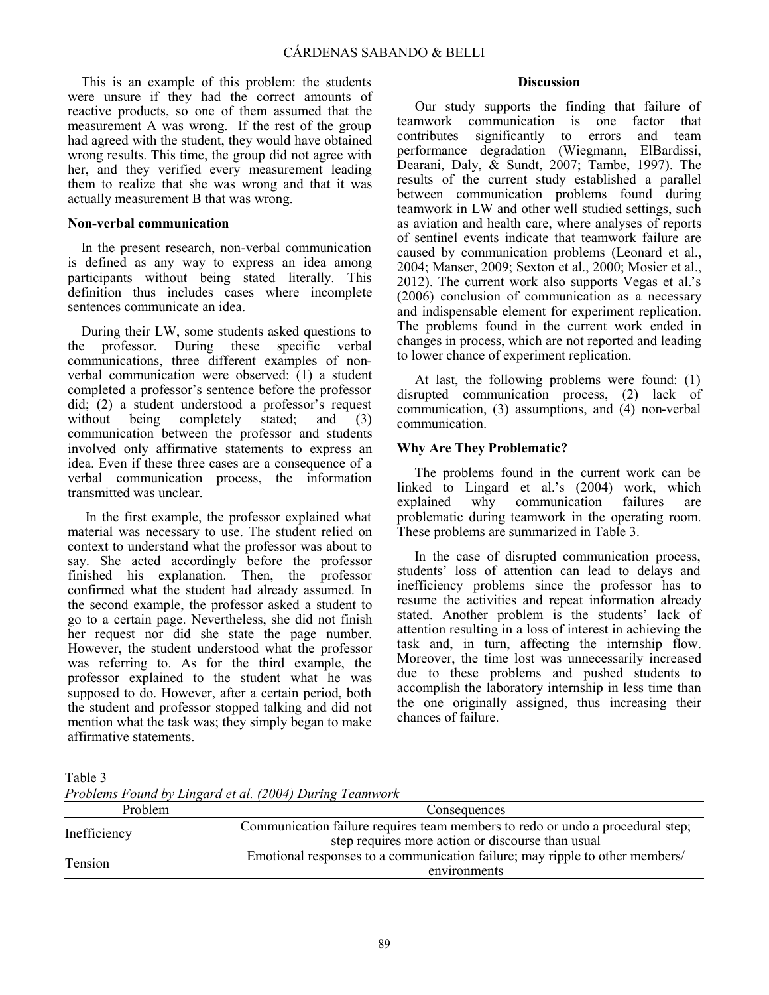This is an example of this problem: the students were unsure if they had the correct amounts of reactive products, so one of them assumed that the measurement A was wrong. If the rest of the group had agreed with the student, they would have obtained wrong results. This time, the group did not agree with her, and they verified every measurement leading them to realize that she was wrong and that it was actually measurement B that was wrong.

#### **Non-verbal communication**

In the present research, non-verbal communication is defined as any way to express an idea among participants without being stated literally. This definition thus includes cases where incomplete sentences communicate an idea.

During their LW, some students asked questions to the professor. During these specific verbal communications, three different examples of nonverbal communication were observed: (1) a student completed a professor's sentence before the professor did; (2) a student understood a professor's request without being completely stated; and (3) communication between the professor and students involved only affirmative statements to express an idea. Even if these three cases are a consequence of a verbal communication process, the information transmitted was unclear.

In the first example, the professor explained what material was necessary to use. The student relied on context to understand what the professor was about to say. She acted accordingly before the professor finished his explanation. Then, the professor confirmed what the student had already assumed. In the second example, the professor asked a student to go to a certain page. Nevertheless, she did not finish her request nor did she state the page number. However, the student understood what the professor was referring to. As for the third example, the professor explained to the student what he was supposed to do. However, after a certain period, both the student and professor stopped talking and did not mention what the task was; they simply began to make affirmative statements.

# **Discussion**

Our study supports the finding that failure of teamwork communication is one factor that contributes significantly to errors and team performance degradation (Wiegmann, ElBardissi, Dearani, Daly, & Sundt, 2007; Tambe, 1997). The results of the current study established a parallel between communication problems found during teamwork in LW and other well studied settings, such as aviation and health care, where analyses of reports of sentinel events indicate that teamwork failure are caused by communication problems (Leonard et al., 2004; Manser, 2009; Sexton et al., 2000; Mosier et al., 2012). The current work also supports Vegas et al.'s (2006) conclusion of communication as a necessary and indispensable element for experiment replication. The problems found in the current work ended in changes in process, which are not reported and leading to lower chance of experiment replication.

At last, the following problems were found: (1) disrupted communication process, (2) lack of communication, (3) assumptions, and (4) non-verbal communication.

# **Why Are They Problematic?**

The problems found in the current work can be linked to Lingard et al.'s (2004) work, which explained why communication failures are problematic during teamwork in the operating room. These problems are summarized in Table 3.

In the case of disrupted communication process, students' loss of attention can lead to delays and inefficiency problems since the professor has to resume the activities and repeat information already stated. Another problem is the students' lack of attention resulting in a loss of interest in achieving the task and, in turn, affecting the internship flow. Moreover, the time lost was unnecessarily increased due to these problems and pushed students to accomplish the laboratory internship in less time than the one originally assigned, thus increasing their chances of failure.

Table 3

*Problems Found by Lingard et al. (2004) During Teamwork*

| Problem      | Consequences                                                                                                                        |
|--------------|-------------------------------------------------------------------------------------------------------------------------------------|
| Inefficiency | Communication failure requires team members to redo or undo a procedural step;<br>step requires more action or discourse than usual |
| Tension      | Emotional responses to a communication failure; may ripple to other members/<br>environments                                        |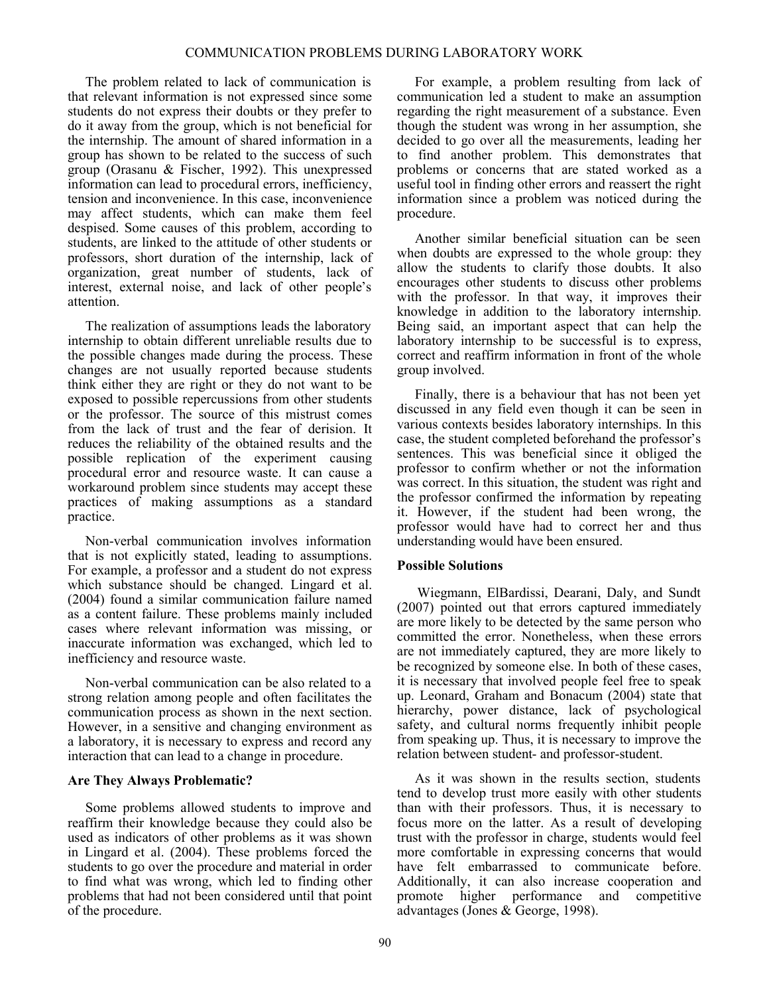The problem related to lack of communication is that relevant information is not expressed since some students do not express their doubts or they prefer to do it away from the group, which is not beneficial for the internship. The amount of shared information in a group has shown to be related to the success of such group (Orasanu & Fischer, 1992). This unexpressed information can lead to procedural errors, inefficiency, tension and inconvenience. In this case, inconvenience may affect students, which can make them feel despised. Some causes of this problem, according to students, are linked to the attitude of other students or professors, short duration of the internship, lack of organization, great number of students, lack of interest, external noise, and lack of other people's attention.

The realization of assumptions leads the laboratory internship to obtain different unreliable results due to the possible changes made during the process. These changes are not usually reported because students think either they are right or they do not want to be exposed to possible repercussions from other students or the professor. The source of this mistrust comes from the lack of trust and the fear of derision. It reduces the reliability of the obtained results and the possible replication of the experiment causing procedural error and resource waste. It can cause a workaround problem since students may accept these practices of making assumptions as a standard practice.

Non-verbal communication involves information that is not explicitly stated, leading to assumptions. For example, a professor and a student do not express which substance should be changed. Lingard et al. (2004) found a similar communication failure named as a content failure. These problems mainly included cases where relevant information was missing, or inaccurate information was exchanged, which led to inefficiency and resource waste.

Non-verbal communication can be also related to a strong relation among people and often facilitates the communication process as shown in the next section. However, in a sensitive and changing environment as a laboratory, it is necessary to express and record any interaction that can lead to a change in procedure.

#### **Are They Always Problematic?**

Some problems allowed students to improve and reaffirm their knowledge because they could also be used as indicators of other problems as it was shown in Lingard et al. (2004). These problems forced the students to go over the procedure and material in order to find what was wrong, which led to finding other problems that had not been considered until that point of the procedure.

For example, a problem resulting from lack of communication led a student to make an assumption regarding the right measurement of a substance. Even though the student was wrong in her assumption, she decided to go over all the measurements, leading her to find another problem. This demonstrates that problems or concerns that are stated worked as a useful tool in finding other errors and reassert the right information since a problem was noticed during the procedure.

Another similar beneficial situation can be seen when doubts are expressed to the whole group: they allow the students to clarify those doubts. It also encourages other students to discuss other problems with the professor. In that way, it improves their knowledge in addition to the laboratory internship. Being said, an important aspect that can help the laboratory internship to be successful is to express, correct and reaffirm information in front of the whole group involved.

Finally, there is a behaviour that has not been yet discussed in any field even though it can be seen in various contexts besides laboratory internships. In this case, the student completed beforehand the professor's sentences. This was beneficial since it obliged the professor to confirm whether or not the information was correct. In this situation, the student was right and the professor confirmed the information by repeating it. However, if the student had been wrong, the professor would have had to correct her and thus understanding would have been ensured.

# **Possible Solutions**

Wiegmann, ElBardissi, Dearani, Daly, and Sundt (2007) pointed out that errors captured immediately are more likely to be detected by the same person who committed the error. Nonetheless, when these errors are not immediately captured, they are more likely to be recognized by someone else. In both of these cases, it is necessary that involved people feel free to speak up. Leonard, Graham and Bonacum (2004) state that hierarchy, power distance, lack of psychological safety, and cultural norms frequently inhibit people from speaking up. Thus, it is necessary to improve the relation between student- and professor-student.

As it was shown in the results section, students tend to develop trust more easily with other students than with their professors. Thus, it is necessary to focus more on the latter. As a result of developing trust with the professor in charge, students would feel more comfortable in expressing concerns that would have felt embarrassed to communicate before. Additionally, it can also increase cooperation and promote higher performance and competitive advantages (Jones & George, 1998).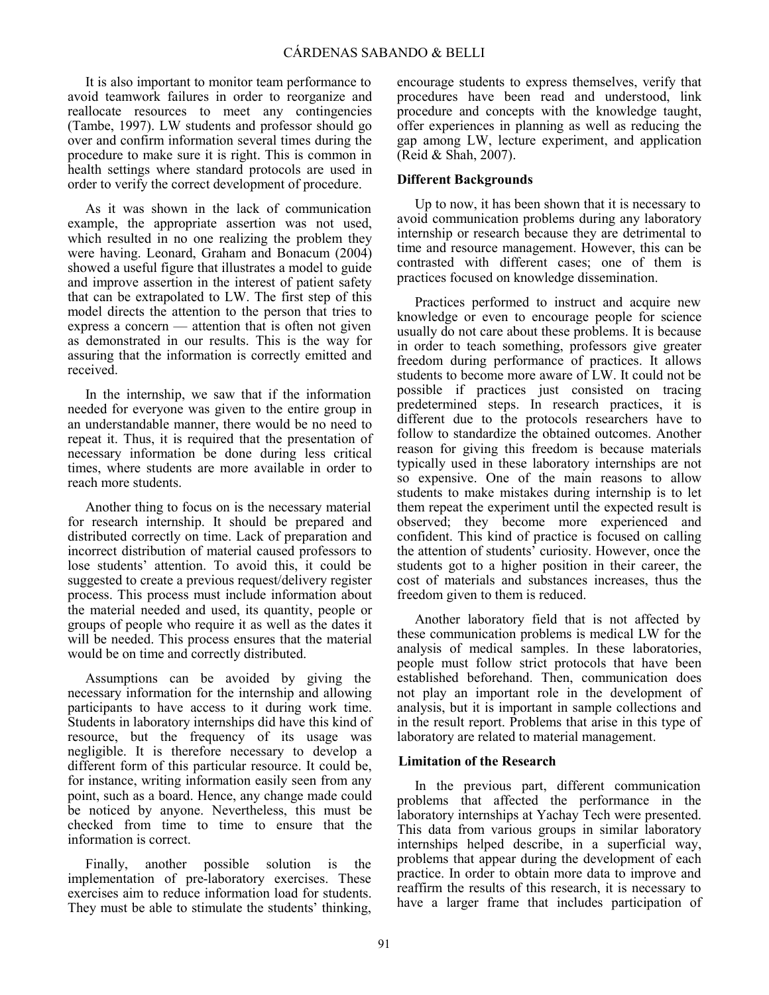It is also important to monitor team performance to avoid teamwork failures in order to reorganize and reallocate resources to meet any contingencies (Tambe, 1997). LW students and professor should go over and confirm information several times during the procedure to make sure it is right. This is common in health settings where standard protocols are used in order to verify the correct development of procedure.

As it was shown in the lack of communication example, the appropriate assertion was not used, which resulted in no one realizing the problem they were having. Leonard, Graham and Bonacum (2004) showed a useful figure that illustrates a model to guide and improve assertion in the interest of patient safety that can be extrapolated to LW. The first step of this model directs the attention to the person that tries to express a concern — attention that is often not given as demonstrated in our results. This is the way for assuring that the information is correctly emitted and received.

In the internship, we saw that if the information needed for everyone was given to the entire group in an understandable manner, there would be no need to repeat it. Thus, it is required that the presentation of necessary information be done during less critical times, where students are more available in order to reach more students.

Another thing to focus on is the necessary material for research internship. It should be prepared and distributed correctly on time. Lack of preparation and incorrect distribution of material caused professors to lose students' attention. To avoid this, it could be suggested to create a previous request/delivery register process. This process must include information about the material needed and used, its quantity, people or groups of people who require it as well as the dates it will be needed. This process ensures that the material would be on time and correctly distributed.

Assumptions can be avoided by giving the necessary information for the internship and allowing participants to have access to it during work time. Students in laboratory internships did have this kind of resource, but the frequency of its usage was negligible. It is therefore necessary to develop a different form of this particular resource. It could be, for instance, writing information easily seen from any point, such as a board. Hence, any change made could be noticed by anyone. Nevertheless, this must be checked from time to time to ensure that the information is correct.

Finally, another possible solution is the implementation of pre-laboratory exercises. These exercises aim to reduce information load for students. They must be able to stimulate the students' thinking, encourage students to express themselves, verify that procedures have been read and understood, link procedure and concepts with the knowledge taught, offer experiences in planning as well as reducing the gap among LW, lecture experiment, and application (Reid & Shah, 2007).

# **Different Backgrounds**

Up to now, it has been shown that it is necessary to avoid communication problems during any laboratory internship or research because they are detrimental to time and resource management. However, this can be contrasted with different cases; one of them is practices focused on knowledge dissemination.

Practices performed to instruct and acquire new knowledge or even to encourage people for science usually do not care about these problems. It is because in order to teach something, professors give greater freedom during performance of practices. It allows students to become more aware of LW. It could not be possible if practices just consisted on tracing predetermined steps. In research practices, it is different due to the protocols researchers have to follow to standardize the obtained outcomes. Another reason for giving this freedom is because materials typically used in these laboratory internships are not so expensive. One of the main reasons to allow students to make mistakes during internship is to let them repeat the experiment until the expected result is observed; they become more experienced and confident. This kind of practice is focused on calling the attention of students' curiosity. However, once the students got to a higher position in their career, the cost of materials and substances increases, thus the freedom given to them is reduced.

Another laboratory field that is not affected by these communication problems is medical LW for the analysis of medical samples. In these laboratories, people must follow strict protocols that have been established beforehand. Then, communication does not play an important role in the development of analysis, but it is important in sample collections and in the result report. Problems that arise in this type of laboratory are related to material management.

# **Limitation of the Research**

In the previous part, different communication problems that affected the performance in the laboratory internships at Yachay Tech were presented. This data from various groups in similar laboratory internships helped describe, in a superficial way, problems that appear during the development of each practice. In order to obtain more data to improve and reaffirm the results of this research, it is necessary to have a larger frame that includes participation of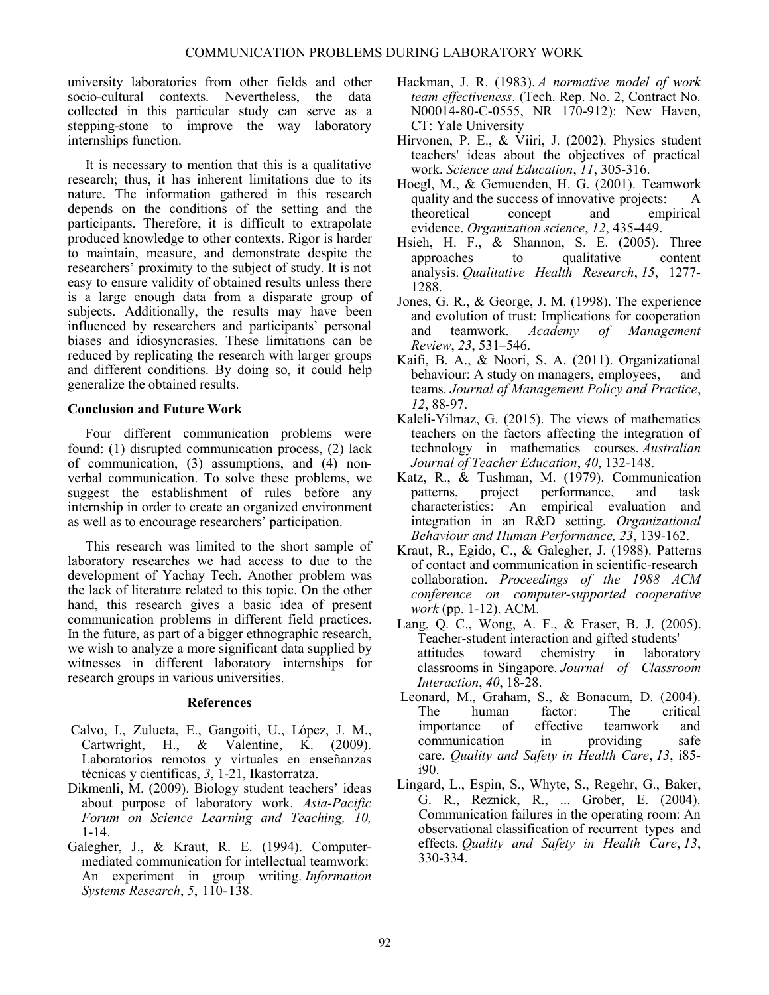university laboratories from other fields and other socio-cultural contexts. Nevertheless, the data collected in this particular study can serve as a stepping-stone to improve the way laboratory internships function.

It is necessary to mention that this is a qualitative research; thus, it has inherent limitations due to its nature. The information gathered in this research depends on the conditions of the setting and the participants. Therefore, it is difficult to extrapolate produced knowledge to other contexts. Rigor is harder to maintain, measure, and demonstrate despite the researchers' proximity to the subject of study. It is not easy to ensure validity of obtained results unless there is a large enough data from a disparate group of subjects. Additionally, the results may have been influenced by researchers and participants' personal biases and idiosyncrasies. These limitations can be reduced by replicating the research with larger groups and different conditions. By doing so, it could help generalize the obtained results.

# **Conclusion and Future Work**

Four different communication problems were found: (1) disrupted communication process, (2) lack of communication, (3) assumptions, and (4) nonverbal communication. To solve these problems, we suggest the establishment of rules before any internship in order to create an organized environment as well as to encourage researchers' participation.

This research was limited to the short sample of laboratory researches we had access to due to the development of Yachay Tech. Another problem was the lack of literature related to this topic. On the other hand, this research gives a basic idea of present communication problems in different field practices. In the future, as part of a bigger ethnographic research, we wish to analyze a more significant data supplied by witnesses in different laboratory internships for research groups in various universities.

# **References**

- Calvo, I., Zulueta, E., Gangoiti, U., Lόpez, J. M., Cartwright, H., & Valentine, K. (2009). Laboratorios remotos y virtuales en enseñanzas técnicas y cientificas, *3*, 1-21, Ikastorratza.
- Dikmenli, M. (2009). Biology student teachers' ideas about purpose of laboratory work. *Asia-Pacific Forum on Science Learning and Teaching, 10,*  1-14.
- Galegher, J., & Kraut, R. E. (1994). Computermediated communication for intellectual teamwork: An experiment in group writing. *Information Systems Research*, *5*, 110-138.
- Hackman, J. R. (1983). *A normative model of work team effectiveness*. (Tech. Rep. No. 2, Contract No. N00014-80-C-0555, NR 170-912): New Haven, CT: Yale University
- Hirvonen, P. E., & Viiri, J. (2002). Physics student teachers' ideas about the objectives of practical work. *Science and Education*, *11*, 305-316.
- Hoegl, M., & Gemuenden, H. G. (2001). Teamwork quality and the success of innovative projects: A theoretical concept and empirical evidence. *Organization science*, *12*, 435-449.
- Hsieh, H. F., & Shannon, S. E. (2005). Three approaches to qualitative content analysis. *Qualitative Health Research*, *15*, 1277- 1288.
- Jones, G. R., & George, J. M. (1998). The experience and evolution of trust: Implications for cooperation and teamwork. *Academy of Management Review*, *23*, 531–546.
- Kaifi, B. A., & Noori, S. A. (2011). Organizational behaviour: A study on managers, employees, and teams. *Journal of Management Policy and Practice*, *12*, 88-97.
- Kaleli-Yilmaz, G. (2015). The views of mathematics teachers on the factors affecting the integration of technology in mathematics courses. *Australian Journal of Teacher Education*, *40*, 132-148.
- Katz, R., & Tushman, M. (1979). Communication patterns, project performance, and task characteristics: An empirical evaluation and integration in an R&D setting. *Organizational Behaviour and Human Performance, 23*, 139-162.
- Kraut, R., Egido, C., & Galegher, J. (1988). Patterns of contact and communication in scientific-research collaboration. *Proceedings of the 1988 ACM conference on computer-supported cooperative work* (pp. 1-12). ACM.
- Lang, Q. C., Wong, A. F., & Fraser, B. J. (2005). Teacher-student interaction and gifted students' attitudes toward chemistry in laboratory classrooms in Singapore. *Journal of Classroom Interaction*, *40*, 18-28.
- Leonard, M., Graham, S., & Bonacum, D. (2004). The human factor: The critical importance of effective teamwork and communication in providing safe care. *Quality and Safety in Health Care*, *13*, i85 i90.
- Lingard, L., Espin, S., Whyte, S., Regehr, G., Baker, G. R., Reznick, R., ... Grober, E. (2004). Communication failures in the operating room: An observational classification of recurrent types and effects. *Quality and Safety in Health Care*, *13*, 330-334.